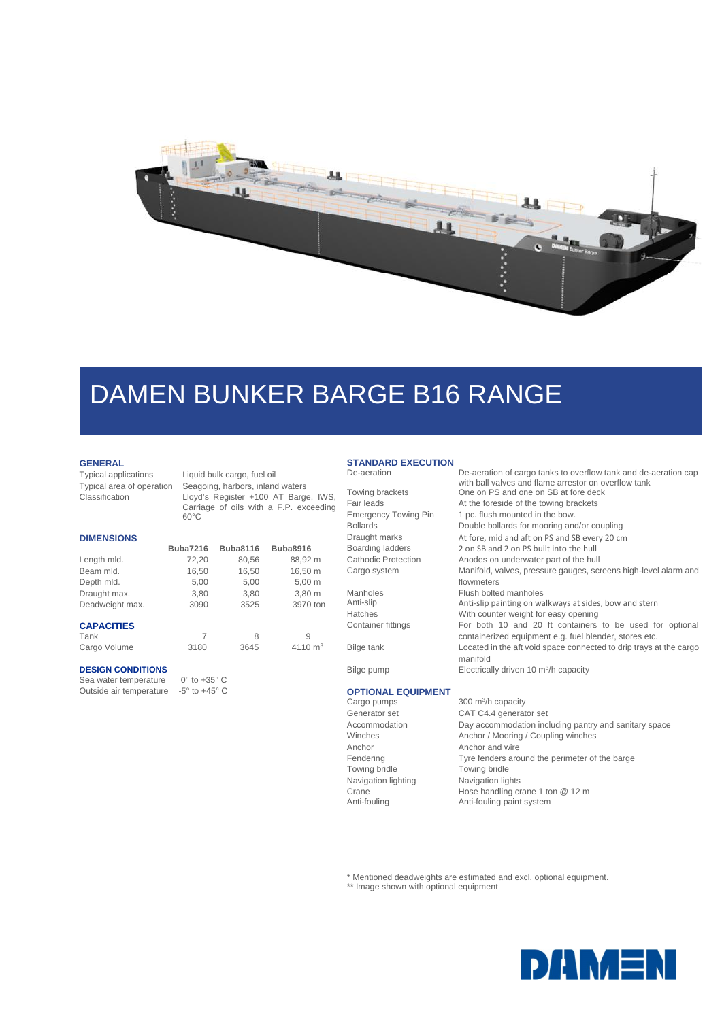

# DAMEN BUNKER BARGE B16 RANGE

## **GENERAL**

**DIMENSIONS**

Typical applications Liquid bulk cargo, fuel oil Typical area of operation Seagoing, harbors, inland waters Classification Lloyd's Register +100 AT Barge, IWS, Carriage of oils with a F.P. exceeding 60°C

| <b>DIMENSIONS</b> |                 |                 |                 |
|-------------------|-----------------|-----------------|-----------------|
|                   | <b>Buba7216</b> | <b>Buba8116</b> | <b>Buba8916</b> |
| Length mld.       | 72,20           | 80,56           | 88,92 m         |
| Beam mld.         | 16,50           | 16,50           | 16,50 m         |
| Depth mld.        | 5,00            | 5,00            | $5,00 \; m$     |
| Draught max.      | 3,80            | 3,80            | 3,80 m          |
| Deadweight max.   | 3090            | 3525            | 3970 ton        |
| <b>CAPACITIES</b> |                 |                 |                 |
| Tank              | 7               | 8               | 9               |
| Cargo Volume      | 3180            | 3645            | 4110 $m3$       |

### **DESIGN CONDITIONS**

Sea water temperature 0° to +35° C Outside air temperature -5° to +45° C

#### **STANDARD EXECUTION**<br>De-aeration De-aeration De-aeration of cargo tanks to overflow tank and de-aeration cap

|                             | with ball valves and flame arrestor on overflow tank               |
|-----------------------------|--------------------------------------------------------------------|
| Towing brackets             | One on PS and one on SB at fore deck                               |
| Fair leads                  | At the foreside of the towing brackets                             |
| <b>Emergency Towing Pin</b> | 1 pc. flush mounted in the bow.                                    |
| <b>Bollards</b>             | Double bollards for mooring and/or coupling                        |
| Draught marks               | At fore, mid and aft on PS and SB every 20 cm                      |
| Boarding ladders            | 2 on SB and 2 on PS built into the hull                            |
| Cathodic Protection         | Anodes on underwater part of the hull                              |
| Cargo system                | Manifold, valves, pressure gauges, screens high-level alarm and    |
|                             | flowmeters                                                         |
| Manholes                    | Flush bolted manholes                                              |
| Anti-slip                   | Anti-slip painting on walkways at sides, bow and stern             |
| <b>Hatches</b>              | With counter weight for easy opening                               |
| Container fittings          | For both 10 and 20 ft containers to be used for optional           |
|                             | containerized equipment e.g. fuel blender, stores etc.             |
| Bilge tank                  | Located in the aft void space connected to drip trays at the cargo |
|                             | manifold                                                           |
| Bilge pump                  | Electrically driven 10 m <sup>3</sup> /h capacity                  |
|                             |                                                                    |
| <b>OPTIONAL EQUIPMENT</b>   |                                                                    |
| Cargo pumps                 | 300 $m^3/h$ capacity                                               |
| Generator set               | CAT C4.4 generator set                                             |
|                             |                                                                    |

Anchor **Anchor Anchor Anchor Anchor** Towing bridle Towing bridle Navigation lighting Navigation lights

Accommodation Day accommodation including pantry and sanitary space<br>Winches Mooring / Coupling winches Anchor / Mooring / Coupling winches Fendering Tyre fenders around the perimeter of the barge Crane Hose handling crane 1 ton @ 12 m<br>Anti-fouling Anti-fouling paint system Anti-fouling paint system

\* Mentioned deadweights are estimated and excl. optional equipment.

\*\* Image shown with optional equipment